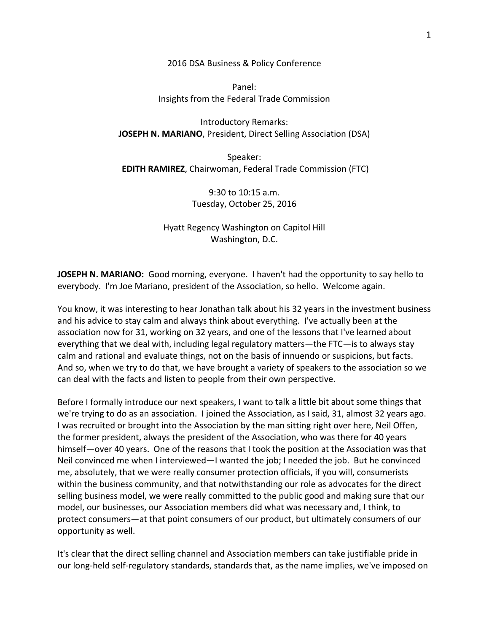2016 DSA Business & Policy Conference

Panel: Insights from the Federal Trade Commission

Introductory Remarks: **JOSEPH N. MARIANO**, President, Direct Selling Association (DSA)

Speaker: **EDITH RAMIREZ**, Chairwoman, Federal Trade Commission (FTC)

> 9:30 to 10:15 a.m. Tuesday, October 25, 2016

Hyatt Regency Washington on Capitol Hill Washington, D.C.

**JOSEPH N. MARIANO:** Good morning, everyone. I haven't had the opportunity to say hello to everybody. I'm Joe Mariano, president of the Association, so hello. Welcome again.

You know, it was interesting to hear Jonathan talk about his 32 years in the investment business and his advice to stay calm and always think about everything. I've actually been at the association now for 31, working on 32 years, and one of the lessons that I've learned about everything that we deal with, including legal regulatory matters—the FTC—is to always stay calm and rational and evaluate things, not on the basis of innuendo or suspicions, but facts. And so, when we try to do that, we have brought a variety of speakers to the association so we can deal with the facts and listen to people from their own perspective.

Before I formally introduce our next speakers, I want to talk a little bit about some things that we're trying to do as an association. I joined the Association, as I said, 31, almost 32 years ago. I was recruited or brought into the Association by the man sitting right over here, Neil Offen, the former president, always the president of the Association, who was there for 40 years himself—over 40 years. One of the reasons that I took the position at the Association was that Neil convinced me when I interviewed—I wanted the job; I needed the job. But he convinced me, absolutely, that we were really consumer protection officials, if you will, consumerists within the business community, and that notwithstanding our role as advocates for the direct selling business model, we were really committed to the public good and making sure that our model, our businesses, our Association members did what was necessary and, I think, to protect consumers—at that point consumers of our product, but ultimately consumers of our opportunity as well.

It's clear that the direct selling channel and Association members can take justifiable pride in our long‐held self‐regulatory standards, standards that, as the name implies, we've imposed on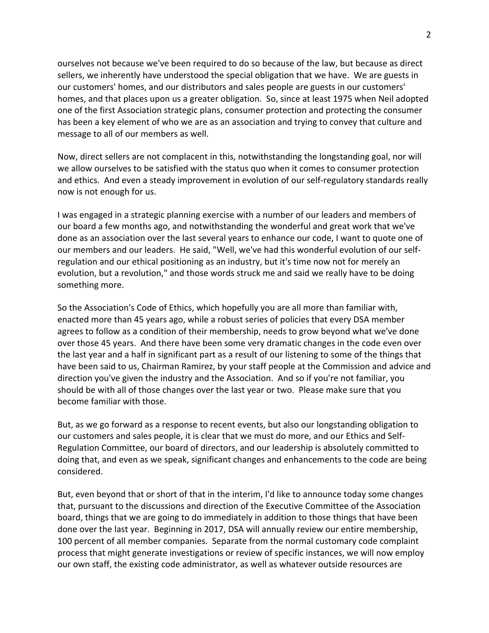ourselves not because we've been required to do so because of the law, but because as direct sellers, we inherently have understood the special obligation that we have. We are guests in our customers' homes, and our distributors and sales people are guests in our customers' homes, and that places upon us a greater obligation. So, since at least 1975 when Neil adopted one of the first Association strategic plans, consumer protection and protecting the consumer has been a key element of who we are as an association and trying to convey that culture and message to all of our members as well.

Now, direct sellers are not complacent in this, notwithstanding the longstanding goal, nor will we allow ourselves to be satisfied with the status quo when it comes to consumer protection and ethics. And even a steady improvement in evolution of our self-regulatory standards really now is not enough for us.

I was engaged in a strategic planning exercise with a number of our leaders and members of our board a few months ago, and notwithstanding the wonderful and great work that we've done as an association over the last several years to enhance our code, I want to quote one of our members and our leaders. He said, "Well, we've had this wonderful evolution of our self‐ regulation and our ethical positioning as an industry, but it's time now not for merely an evolution, but a revolution," and those words struck me and said we really have to be doing something more.

So the Association's Code of Ethics, which hopefully you are all more than familiar with, enacted more than 45 years ago, while a robust series of policies that every DSA member agrees to follow as a condition of their membership, needs to grow beyond what we've done over those 45 years. And there have been some very dramatic changes in the code even over the last year and a half in significant part as a result of our listening to some of the things that have been said to us, Chairman Ramirez, by your staff people at the Commission and advice and direction you've given the industry and the Association. And so if you're not familiar, you should be with all of those changes over the last year or two. Please make sure that you become familiar with those.

But, as we go forward as a response to recent events, but also our longstanding obligation to our customers and sales people, it is clear that we must do more, and our Ethics and Self‐ Regulation Committee, our board of directors, and our leadership is absolutely committed to doing that, and even as we speak, significant changes and enhancements to the code are being considered.

But, even beyond that or short of that in the interim, I'd like to announce today some changes that, pursuant to the discussions and direction of the Executive Committee of the Association board, things that we are going to do immediately in addition to those things that have been done over the last year. Beginning in 2017, DSA will annually review our entire membership, 100 percent of all member companies. Separate from the normal customary code complaint process that might generate investigations or review of specific instances, we will now employ our own staff, the existing code administrator, as well as whatever outside resources are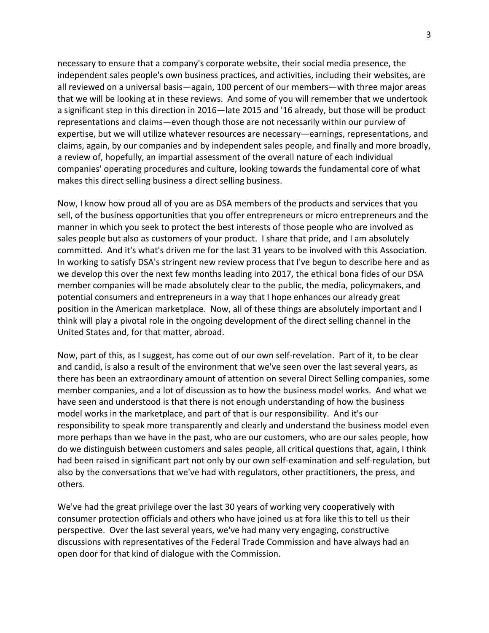necessary to ensure that a company's corporate website, their social media presence, the independent sales people's own business practices, and activities, including their websites, are all reviewed on a universal basis—again, 100 percent of our members—with three major areas that we will be looking at in these reviews. And some of you will remember that we undertook a significant step in this direction in 2016—late 2015 and '16 already, but those will be product representations and claims—even though those are not necessarily within our purview of expertise, but we will utilize whatever resources are necessary—earnings, representations, and claims, again, by our companies and by independent sales people, and finally and more broadly, a review of, hopefully, an impartial assessment of the overall nature of each individual companies' operating procedures and culture, looking towards the fundamental core of what makes this direct selling business a direct selling business.

Now, I know how proud all of you are as DSA members of the products and services that you sell, of the business opportunities that you offer entrepreneurs or micro entrepreneurs and the manner in which you seek to protect the best interests of those people who are involved as sales people but also as customers of your product. I share that pride, and I am absolutely committed. And it's what's driven me for the last 31 years to be involved with this Association. In working to satisfy DSA's stringent new review process that I've begun to describe here and as we develop this over the next few months leading into 2017, the ethical bona fides of our DSA member companies will be made absolutely clear to the public, the media, policymakers, and potential consumers and entrepreneurs in a way that I hope enhances our already great position in the American marketplace. Now, all of these things are absolutely important and I think will play a pivotal role in the ongoing development of the direct selling channel in the United States and, for that matter, abroad.

Now, part of this, as I suggest, has come out of our own self‐revelation. Part of it, to be clear and candid, is also a result of the environment that we've seen over the last several years, as there has been an extraordinary amount of attention on several Direct Selling companies, some member companies, and a lot of discussion as to how the business model works. And what we have seen and understood is that there is not enough understanding of how the business model works in the marketplace, and part of that is our responsibility. And it's our responsibility to speak more transparently and clearly and understand the business model even more perhaps than we have in the past, who are our customers, who are our sales people, how do we distinguish between customers and sales people, all critical questions that, again, I think had been raised in significant part not only by our own self‐examination and self‐regulation, but also by the conversations that we've had with regulators, other practitioners, the press, and others.

We've had the great privilege over the last 30 years of working very cooperatively with consumer protection officials and others who have joined us at fora like this to tell us their perspective. Over the last several years, we've had many very engaging, constructive discussions with representatives of the Federal Trade Commission and have always had an open door for that kind of dialogue with the Commission.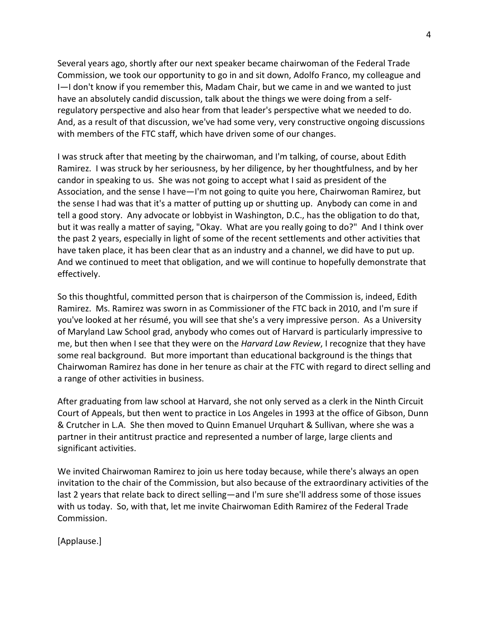Several years ago, shortly after our next speaker became chairwoman of the Federal Trade Commission, we took our opportunity to go in and sit down, Adolfo Franco, my colleague and I—I don't know if you remember this, Madam Chair, but we came in and we wanted to just have an absolutely candid discussion, talk about the things we were doing from a self‐ regulatory perspective and also hear from that leader's perspective what we needed to do. And, as a result of that discussion, we've had some very, very constructive ongoing discussions with members of the FTC staff, which have driven some of our changes.

I was struck after that meeting by the chairwoman, and I'm talking, of course, about Edith Ramirez. I was struck by her seriousness, by her diligence, by her thoughtfulness, and by her candor in speaking to us. She was not going to accept what I said as president of the Association, and the sense I have—I'm not going to quite you here, Chairwoman Ramirez, but the sense I had was that it's a matter of putting up or shutting up. Anybody can come in and tell a good story. Any advocate or lobbyist in Washington, D.C., has the obligation to do that, but it was really a matter of saying, "Okay. What are you really going to do?" And I think over the past 2 years, especially in light of some of the recent settlements and other activities that have taken place, it has been clear that as an industry and a channel, we did have to put up. And we continued to meet that obligation, and we will continue to hopefully demonstrate that effectively.

So this thoughtful, committed person that is chairperson of the Commission is, indeed, Edith Ramirez. Ms. Ramirez was sworn in as Commissioner of the FTC back in 2010, and I'm sure if you've looked at her résumé, you will see that she's a very impressive person. As a University of Maryland Law School grad, anybody who comes out of Harvard is particularly impressive to me, but then when I see that they were on the *Harvard Law Review*, I recognize that they have some real background. But more important than educational background is the things that Chairwoman Ramirez has done in her tenure as chair at the FTC with regard to direct selling and a range of other activities in business.

After graduating from law school at Harvard, she not only served as a clerk in the Ninth Circuit Court of Appeals, but then went to practice in Los Angeles in 1993 at the office of Gibson, Dunn & Crutcher in L.A. She then moved to Quinn Emanuel Urquhart & Sullivan, where she was a partner in their antitrust practice and represented a number of large, large clients and significant activities.

We invited Chairwoman Ramirez to join us here today because, while there's always an open invitation to the chair of the Commission, but also because of the extraordinary activities of the last 2 years that relate back to direct selling—and I'm sure she'll address some of those issues with us today. So, with that, let me invite Chairwoman Edith Ramirez of the Federal Trade Commission.

[Applause.]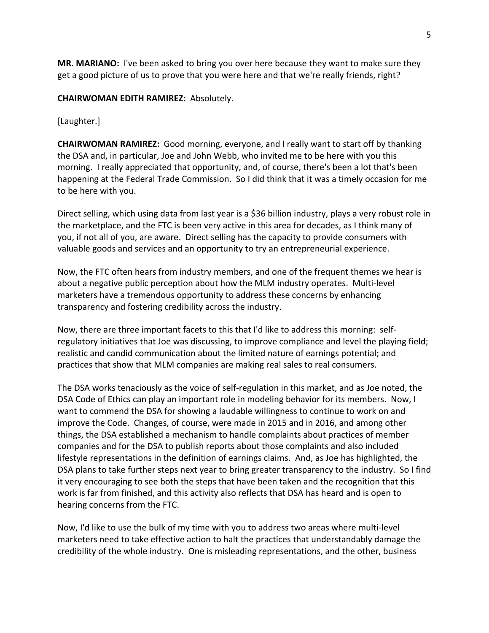**MR. MARIANO:** I've been asked to bring you over here because they want to make sure they get a good picture of us to prove that you were here and that we're really friends, right?

## **CHAIRWOMAN EDITH RAMIREZ:** Absolutely.

## [Laughter.]

**CHAIRWOMAN RAMIREZ:** Good morning, everyone, and I really want to start off by thanking the DSA and, in particular, Joe and John Webb, who invited me to be here with you this morning. I really appreciated that opportunity, and, of course, there's been a lot that's been happening at the Federal Trade Commission. So I did think that it was a timely occasion for me to be here with you.

Direct selling, which using data from last year is a \$36 billion industry, plays a very robust role in the marketplace, and the FTC is been very active in this area for decades, as I think many of you, if not all of you, are aware. Direct selling has the capacity to provide consumers with valuable goods and services and an opportunity to try an entrepreneurial experience.

Now, the FTC often hears from industry members, and one of the frequent themes we hear is about a negative public perception about how the MLM industry operates. Multi‐level marketers have a tremendous opportunity to address these concerns by enhancing transparency and fostering credibility across the industry.

Now, there are three important facets to this that I'd like to address this morning: self‐ regulatory initiatives that Joe was discussing, to improve compliance and level the playing field; realistic and candid communication about the limited nature of earnings potential; and practices that show that MLM companies are making real sales to real consumers.

The DSA works tenaciously as the voice of self‐regulation in this market, and as Joe noted, the DSA Code of Ethics can play an important role in modeling behavior for its members. Now, I want to commend the DSA for showing a laudable willingness to continue to work on and improve the Code. Changes, of course, were made in 2015 and in 2016, and among other things, the DSA established a mechanism to handle complaints about practices of member companies and for the DSA to publish reports about those complaints and also included lifestyle representations in the definition of earnings claims. And, as Joe has highlighted, the DSA plans to take further steps next year to bring greater transparency to the industry. So I find it very encouraging to see both the steps that have been taken and the recognition that this work is far from finished, and this activity also reflects that DSA has heard and is open to hearing concerns from the FTC.

Now, I'd like to use the bulk of my time with you to address two areas where multi‐level marketers need to take effective action to halt the practices that understandably damage the credibility of the whole industry. One is misleading representations, and the other, business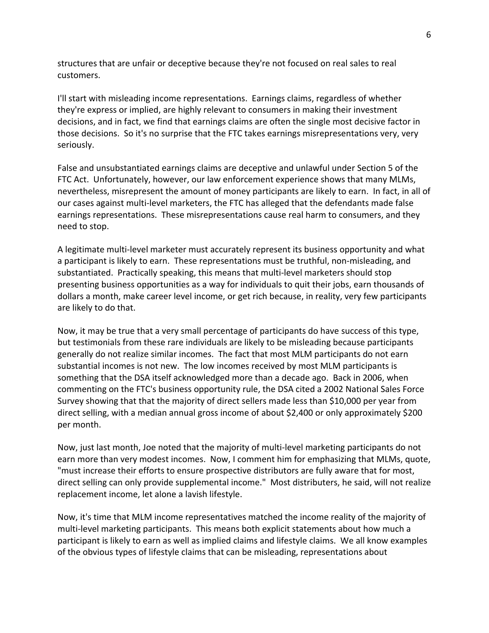structures that are unfair or deceptive because they're not focused on real sales to real customers.

I'll start with misleading income representations. Earnings claims, regardless of whether they're express or implied, are highly relevant to consumers in making their investment decisions, and in fact, we find that earnings claims are often the single most decisive factor in those decisions. So it's no surprise that the FTC takes earnings misrepresentations very, very seriously.

False and unsubstantiated earnings claims are deceptive and unlawful under Section 5 of the FTC Act. Unfortunately, however, our law enforcement experience shows that many MLMs, nevertheless, misrepresent the amount of money participants are likely to earn. In fact, in all of our cases against multi‐level marketers, the FTC has alleged that the defendants made false earnings representations. These misrepresentations cause real harm to consumers, and they need to stop.

A legitimate multi‐level marketer must accurately represent its business opportunity and what a participant is likely to earn. These representations must be truthful, non-misleading, and substantiated. Practically speaking, this means that multi‐level marketers should stop presenting business opportunities as a way for individuals to quit their jobs, earn thousands of dollars a month, make career level income, or get rich because, in reality, very few participants are likely to do that.

Now, it may be true that a very small percentage of participants do have success of this type, but testimonials from these rare individuals are likely to be misleading because participants generally do not realize similar incomes. The fact that most MLM participants do not earn substantial incomes is not new. The low incomes received by most MLM participants is something that the DSA itself acknowledged more than a decade ago. Back in 2006, when commenting on the FTC's business opportunity rule, the DSA cited a 2002 National Sales Force Survey showing that that the majority of direct sellers made less than \$10,000 per year from direct selling, with a median annual gross income of about \$2,400 or only approximately \$200 per month.

Now, just last month, Joe noted that the majority of multi‐level marketing participants do not earn more than very modest incomes. Now, I comment him for emphasizing that MLMs, quote, "must increase their efforts to ensure prospective distributors are fully aware that for most, direct selling can only provide supplemental income." Most distributers, he said, will not realize replacement income, let alone a lavish lifestyle.

Now, it's time that MLM income representatives matched the income reality of the majority of multi‐level marketing participants. This means both explicit statements about how much a participant is likely to earn as well as implied claims and lifestyle claims. We all know examples of the obvious types of lifestyle claims that can be misleading, representations about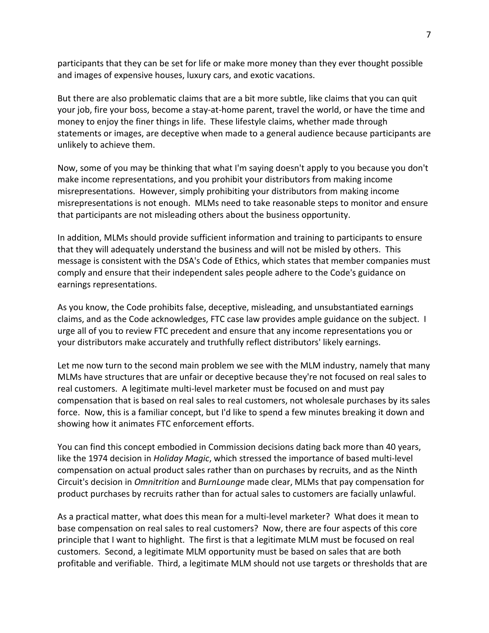participants that they can be set for life or make more money than they ever thought possible and images of expensive houses, luxury cars, and exotic vacations.

But there are also problematic claims that are a bit more subtle, like claims that you can quit your job, fire your boss, become a stay‐at‐home parent, travel the world, or have the time and money to enjoy the finer things in life. These lifestyle claims, whether made through statements or images, are deceptive when made to a general audience because participants are unlikely to achieve them.

Now, some of you may be thinking that what I'm saying doesn't apply to you because you don't make income representations, and you prohibit your distributors from making income misrepresentations. However, simply prohibiting your distributors from making income misrepresentations is not enough. MLMs need to take reasonable steps to monitor and ensure that participants are not misleading others about the business opportunity.

In addition, MLMs should provide sufficient information and training to participants to ensure that they will adequately understand the business and will not be misled by others. This message is consistent with the DSA's Code of Ethics, which states that member companies must comply and ensure that their independent sales people adhere to the Code's guidance on earnings representations.

As you know, the Code prohibits false, deceptive, misleading, and unsubstantiated earnings claims, and as the Code acknowledges, FTC case law provides ample guidance on the subject. I urge all of you to review FTC precedent and ensure that any income representations you or your distributors make accurately and truthfully reflect distributors' likely earnings.

Let me now turn to the second main problem we see with the MLM industry, namely that many MLMs have structures that are unfair or deceptive because they're not focused on real sales to real customers. A legitimate multi‐level marketer must be focused on and must pay compensation that is based on real sales to real customers, not wholesale purchases by its sales force. Now, this is a familiar concept, but I'd like to spend a few minutes breaking it down and showing how it animates FTC enforcement efforts.

You can find this concept embodied in Commission decisions dating back more than 40 years, like the 1974 decision in *Holiday Magic*, which stressed the importance of based multi‐level compensation on actual product sales rather than on purchases by recruits, and as the Ninth Circuit's decision in *Omnitrition* and *BurnLounge* made clear, MLMs that pay compensation for product purchases by recruits rather than for actual sales to customers are facially unlawful.

As a practical matter, what does this mean for a multi‐level marketer? What does it mean to base compensation on real sales to real customers? Now, there are four aspects of this core principle that I want to highlight. The first is that a legitimate MLM must be focused on real customers. Second, a legitimate MLM opportunity must be based on sales that are both profitable and verifiable. Third, a legitimate MLM should not use targets or thresholds that are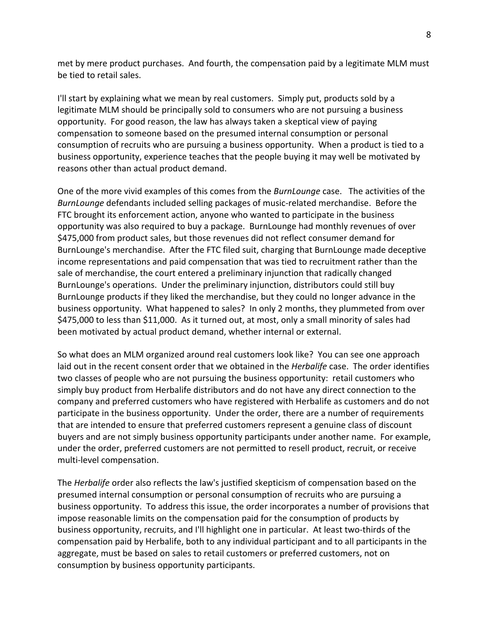met by mere product purchases. And fourth, the compensation paid by a legitimate MLM must be tied to retail sales.

I'll start by explaining what we mean by real customers. Simply put, products sold by a legitimate MLM should be principally sold to consumers who are not pursuing a business opportunity. For good reason, the law has always taken a skeptical view of paying compensation to someone based on the presumed internal consumption or personal consumption of recruits who are pursuing a business opportunity. When a product is tied to a business opportunity, experience teaches that the people buying it may well be motivated by reasons other than actual product demand.

One of the more vivid examples of this comes from the *BurnLounge* case. The activities of the *BurnLounge* defendants included selling packages of music‐related merchandise. Before the FTC brought its enforcement action, anyone who wanted to participate in the business opportunity was also required to buy a package. BurnLounge had monthly revenues of over \$475,000 from product sales, but those revenues did not reflect consumer demand for BurnLounge's merchandise. After the FTC filed suit, charging that BurnLounge made deceptive income representations and paid compensation that was tied to recruitment rather than the sale of merchandise, the court entered a preliminary injunction that radically changed BurnLounge's operations. Under the preliminary injunction, distributors could still buy BurnLounge products if they liked the merchandise, but they could no longer advance in the business opportunity. What happened to sales? In only 2 months, they plummeted from over \$475,000 to less than \$11,000. As it turned out, at most, only a small minority of sales had been motivated by actual product demand, whether internal or external.

So what does an MLM organized around real customers look like? You can see one approach laid out in the recent consent order that we obtained in the *Herbalife* case. The order identifies two classes of people who are not pursuing the business opportunity: retail customers who simply buy product from Herbalife distributors and do not have any direct connection to the company and preferred customers who have registered with Herbalife as customers and do not participate in the business opportunity. Under the order, there are a number of requirements that are intended to ensure that preferred customers represent a genuine class of discount buyers and are not simply business opportunity participants under another name. For example, under the order, preferred customers are not permitted to resell product, recruit, or receive multi‐level compensation.

The *Herbalife* order also reflects the law's justified skepticism of compensation based on the presumed internal consumption or personal consumption of recruits who are pursuing a business opportunity. To address this issue, the order incorporates a number of provisions that impose reasonable limits on the compensation paid for the consumption of products by business opportunity, recruits, and I'll highlight one in particular. At least two‐thirds of the compensation paid by Herbalife, both to any individual participant and to all participants in the aggregate, must be based on sales to retail customers or preferred customers, not on consumption by business opportunity participants.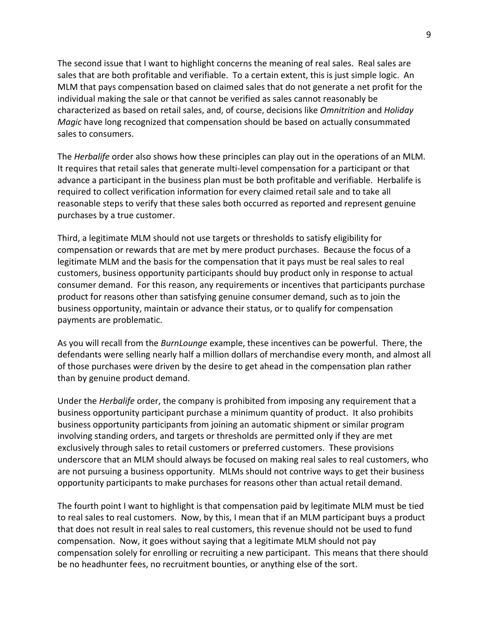The second issue that I want to highlight concerns the meaning of real sales. Real sales are sales that are both profitable and verifiable. To a certain extent, this is just simple logic. An MLM that pays compensation based on claimed sales that do not generate a net profit for the individual making the sale or that cannot be verified as sales cannot reasonably be characterized as based on retail sales, and, of course, decisions like *Omnitrition* and *Holiday Magic* have long recognized that compensation should be based on actually consummated sales to consumers.

The *Herbalife* order also shows how these principles can play out in the operations of an MLM. It requires that retail sales that generate multi‐level compensation for a participant or that advance a participant in the business plan must be both profitable and verifiable. Herbalife is required to collect verification information for every claimed retail sale and to take all reasonable steps to verify that these sales both occurred as reported and represent genuine purchases by a true customer.

Third, a legitimate MLM should not use targets or thresholds to satisfy eligibility for compensation or rewards that are met by mere product purchases. Because the focus of a legitimate MLM and the basis for the compensation that it pays must be real sales to real customers, business opportunity participants should buy product only in response to actual consumer demand. For this reason, any requirements or incentives that participants purchase product for reasons other than satisfying genuine consumer demand, such as to join the business opportunity, maintain or advance their status, or to qualify for compensation payments are problematic.

As you will recall from the *BurnLounge* example, these incentives can be powerful. There, the defendants were selling nearly half a million dollars of merchandise every month, and almost all of those purchases were driven by the desire to get ahead in the compensation plan rather than by genuine product demand.

Under the *Herbalife* order, the company is prohibited from imposing any requirement that a business opportunity participant purchase a minimum quantity of product. It also prohibits business opportunity participants from joining an automatic shipment or similar program involving standing orders, and targets or thresholds are permitted only if they are met exclusively through sales to retail customers or preferred customers. These provisions underscore that an MLM should always be focused on making real sales to real customers, who are not pursuing a business opportunity. MLMs should not contrive ways to get their business opportunity participants to make purchases for reasons other than actual retail demand.

The fourth point I want to highlight is that compensation paid by legitimate MLM must be tied to real sales to real customers. Now, by this, I mean that if an MLM participant buys a product that does not result in real sales to real customers, this revenue should not be used to fund compensation. Now, it goes without saying that a legitimate MLM should not pay compensation solely for enrolling or recruiting a new participant. This means that there should be no headhunter fees, no recruitment bounties, or anything else of the sort.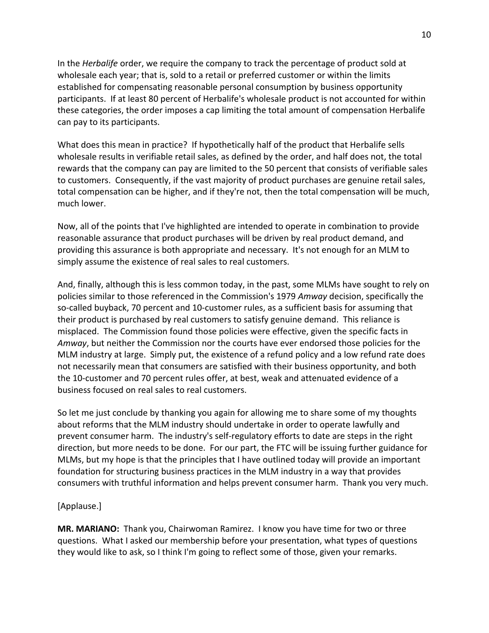In the *Herbalife* order, we require the company to track the percentage of product sold at wholesale each year; that is, sold to a retail or preferred customer or within the limits established for compensating reasonable personal consumption by business opportunity participants. If at least 80 percent of Herbalife's wholesale product is not accounted for within these categories, the order imposes a cap limiting the total amount of compensation Herbalife can pay to its participants.

What does this mean in practice? If hypothetically half of the product that Herbalife sells wholesale results in verifiable retail sales, as defined by the order, and half does not, the total rewards that the company can pay are limited to the 50 percent that consists of verifiable sales to customers. Consequently, if the vast majority of product purchases are genuine retail sales, total compensation can be higher, and if they're not, then the total compensation will be much, much lower.

Now, all of the points that I've highlighted are intended to operate in combination to provide reasonable assurance that product purchases will be driven by real product demand, and providing this assurance is both appropriate and necessary. It's not enough for an MLM to simply assume the existence of real sales to real customers.

And, finally, although this is less common today, in the past, some MLMs have sought to rely on policies similar to those referenced in the Commission's 1979 *Amway* decision, specifically the so-called buyback, 70 percent and 10-customer rules, as a sufficient basis for assuming that their product is purchased by real customers to satisfy genuine demand. This reliance is misplaced. The Commission found those policies were effective, given the specific facts in *Amway*, but neither the Commission nor the courts have ever endorsed those policies for the MLM industry at large. Simply put, the existence of a refund policy and a low refund rate does not necessarily mean that consumers are satisfied with their business opportunity, and both the 10‐customer and 70 percent rules offer, at best, weak and attenuated evidence of a business focused on real sales to real customers.

So let me just conclude by thanking you again for allowing me to share some of my thoughts about reforms that the MLM industry should undertake in order to operate lawfully and prevent consumer harm. The industry's self‐regulatory efforts to date are steps in the right direction, but more needs to be done. For our part, the FTC will be issuing further guidance for MLMs, but my hope is that the principles that I have outlined today will provide an important foundation for structuring business practices in the MLM industry in a way that provides consumers with truthful information and helps prevent consumer harm. Thank you very much.

### [Applause.]

**MR. MARIANO:** Thank you, Chairwoman Ramirez. I know you have time for two or three questions. What I asked our membership before your presentation, what types of questions they would like to ask, so I think I'm going to reflect some of those, given your remarks.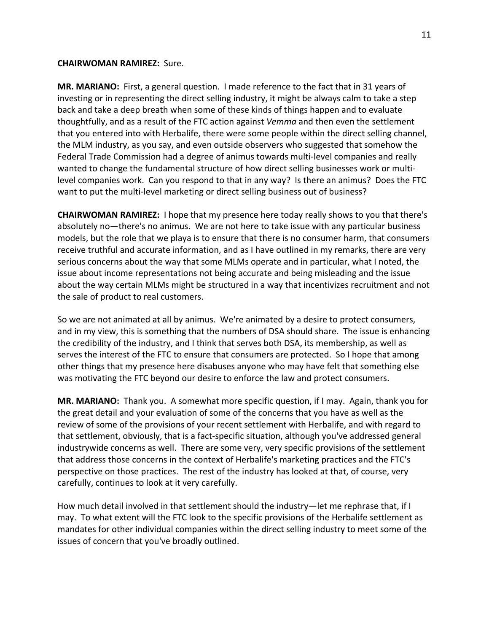#### **CHAIRWOMAN RAMIREZ:** Sure.

**MR. MARIANO:** First, a general question. I made reference to the fact that in 31 years of investing or in representing the direct selling industry, it might be always calm to take a step back and take a deep breath when some of these kinds of things happen and to evaluate thoughtfully, and as a result of the FTC action against *Vemma* and then even the settlement that you entered into with Herbalife, there were some people within the direct selling channel, the MLM industry, as you say, and even outside observers who suggested that somehow the Federal Trade Commission had a degree of animus towards multi‐level companies and really wanted to change the fundamental structure of how direct selling businesses work or multilevel companies work. Can you respond to that in any way? Is there an animus? Does the FTC want to put the multi-level marketing or direct selling business out of business?

**CHAIRWOMAN RAMIREZ:** I hope that my presence here today really shows to you that there's absolutely no—there's no animus. We are not here to take issue with any particular business models, but the role that we playa is to ensure that there is no consumer harm, that consumers receive truthful and accurate information, and as I have outlined in my remarks, there are very serious concerns about the way that some MLMs operate and in particular, what I noted, the issue about income representations not being accurate and being misleading and the issue about the way certain MLMs might be structured in a way that incentivizes recruitment and not the sale of product to real customers.

So we are not animated at all by animus. We're animated by a desire to protect consumers, and in my view, this is something that the numbers of DSA should share. The issue is enhancing the credibility of the industry, and I think that serves both DSA, its membership, as well as serves the interest of the FTC to ensure that consumers are protected. So I hope that among other things that my presence here disabuses anyone who may have felt that something else was motivating the FTC beyond our desire to enforce the law and protect consumers.

**MR. MARIANO:** Thank you. A somewhat more specific question, if I may. Again, thank you for the great detail and your evaluation of some of the concerns that you have as well as the review of some of the provisions of your recent settlement with Herbalife, and with regard to that settlement, obviously, that is a fact‐specific situation, although you've addressed general industrywide concerns as well. There are some very, very specific provisions of the settlement that address those concerns in the context of Herbalife's marketing practices and the FTC's perspective on those practices. The rest of the industry has looked at that, of course, very carefully, continues to look at it very carefully.

How much detail involved in that settlement should the industry—let me rephrase that, if I may. To what extent will the FTC look to the specific provisions of the Herbalife settlement as mandates for other individual companies within the direct selling industry to meet some of the issues of concern that you've broadly outlined.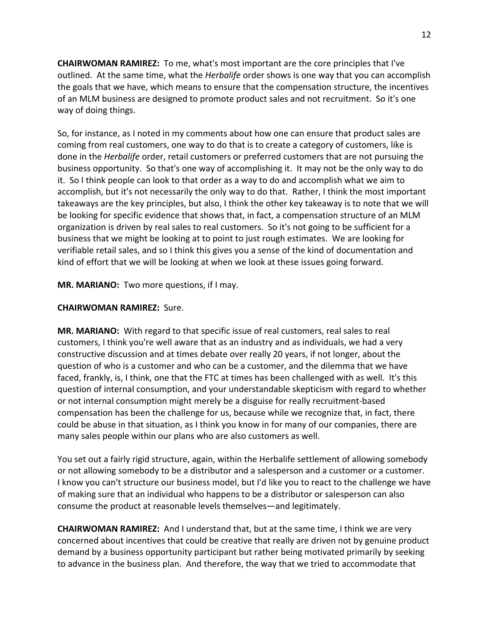**CHAIRWOMAN RAMIREZ:** To me, what's most important are the core principles that I've outlined. At the same time, what the *Herbalife* order shows is one way that you can accomplish the goals that we have, which means to ensure that the compensation structure, the incentives of an MLM business are designed to promote product sales and not recruitment. So it's one way of doing things.

So, for instance, as I noted in my comments about how one can ensure that product sales are coming from real customers, one way to do that is to create a category of customers, like is done in the *Herbalife* order, retail customers or preferred customers that are not pursuing the business opportunity. So that's one way of accomplishing it. It may not be the only way to do it. So I think people can look to that order as a way to do and accomplish what we aim to accomplish, but it's not necessarily the only way to do that. Rather, I think the most important takeaways are the key principles, but also, I think the other key takeaway is to note that we will be looking for specific evidence that shows that, in fact, a compensation structure of an MLM organization is driven by real sales to real customers. So it's not going to be sufficient for a business that we might be looking at to point to just rough estimates. We are looking for verifiable retail sales, and so I think this gives you a sense of the kind of documentation and kind of effort that we will be looking at when we look at these issues going forward.

**MR. MARIANO:** Two more questions, if I may.

# **CHAIRWOMAN RAMIREZ:** Sure.

**MR. MARIANO:** With regard to that specific issue of real customers, real sales to real customers, I think you're well aware that as an industry and as individuals, we had a very constructive discussion and at times debate over really 20 years, if not longer, about the question of who is a customer and who can be a customer, and the dilemma that we have faced, frankly, is, I think, one that the FTC at times has been challenged with as well. It's this question of internal consumption, and your understandable skepticism with regard to whether or not internal consumption might merely be a disguise for really recruitment‐based compensation has been the challenge for us, because while we recognize that, in fact, there could be abuse in that situation, as I think you know in for many of our companies, there are many sales people within our plans who are also customers as well.

You set out a fairly rigid structure, again, within the Herbalife settlement of allowing somebody or not allowing somebody to be a distributor and a salesperson and a customer or a customer. I know you can't structure our business model, but I'd like you to react to the challenge we have of making sure that an individual who happens to be a distributor or salesperson can also consume the product at reasonable levels themselves—and legitimately.

**CHAIRWOMAN RAMIREZ:** And I understand that, but at the same time, I think we are very concerned about incentives that could be creative that really are driven not by genuine product demand by a business opportunity participant but rather being motivated primarily by seeking to advance in the business plan. And therefore, the way that we tried to accommodate that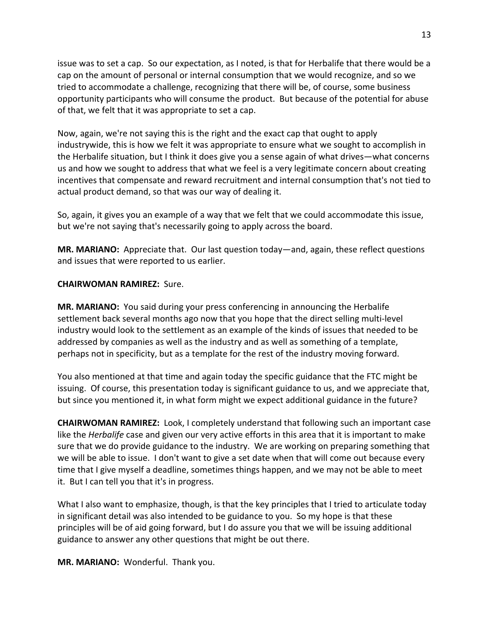issue was to set a cap. So our expectation, as I noted, is that for Herbalife that there would be a cap on the amount of personal or internal consumption that we would recognize, and so we tried to accommodate a challenge, recognizing that there will be, of course, some business opportunity participants who will consume the product. But because of the potential for abuse of that, we felt that it was appropriate to set a cap.

Now, again, we're not saying this is the right and the exact cap that ought to apply industrywide, this is how we felt it was appropriate to ensure what we sought to accomplish in the Herbalife situation, but I think it does give you a sense again of what drives—what concerns us and how we sought to address that what we feel is a very legitimate concern about creating incentives that compensate and reward recruitment and internal consumption that's not tied to actual product demand, so that was our way of dealing it.

So, again, it gives you an example of a way that we felt that we could accommodate this issue, but we're not saying that's necessarily going to apply across the board.

**MR. MARIANO:** Appreciate that. Our last question today—and, again, these reflect questions and issues that were reported to us earlier.

## **CHAIRWOMAN RAMIREZ:** Sure.

**MR. MARIANO:** You said during your press conferencing in announcing the Herbalife settlement back several months ago now that you hope that the direct selling multi‐level industry would look to the settlement as an example of the kinds of issues that needed to be addressed by companies as well as the industry and as well as something of a template, perhaps not in specificity, but as a template for the rest of the industry moving forward.

You also mentioned at that time and again today the specific guidance that the FTC might be issuing. Of course, this presentation today is significant guidance to us, and we appreciate that, but since you mentioned it, in what form might we expect additional guidance in the future?

**CHAIRWOMAN RAMIREZ:** Look, I completely understand that following such an important case like the *Herbalife* case and given our very active efforts in this area that it is important to make sure that we do provide guidance to the industry. We are working on preparing something that we will be able to issue. I don't want to give a set date when that will come out because every time that I give myself a deadline, sometimes things happen, and we may not be able to meet it. But I can tell you that it's in progress.

What I also want to emphasize, though, is that the key principles that I tried to articulate today in significant detail was also intended to be guidance to you. So my hope is that these principles will be of aid going forward, but I do assure you that we will be issuing additional guidance to answer any other questions that might be out there.

**MR. MARIANO:** Wonderful. Thank you.